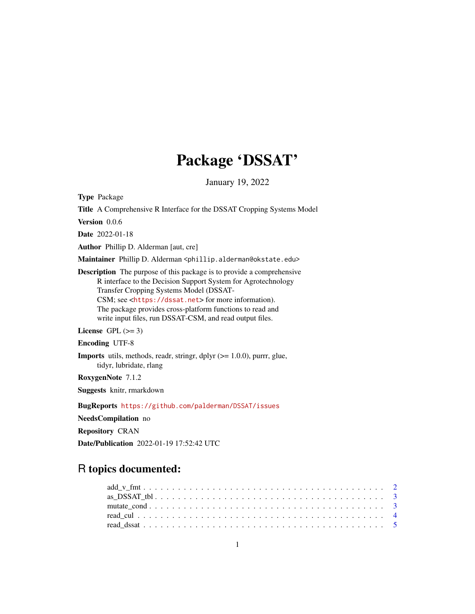# Package 'DSSAT'

January 19, 2022

<span id="page-0-0"></span>Type Package

Title A Comprehensive R Interface for the DSSAT Cropping Systems Model

Version 0.0.6

Date 2022-01-18

Author Phillip D. Alderman [aut, cre]

Maintainer Phillip D. Alderman <phillip.alderman@okstate.edu>

Description The purpose of this package is to provide a comprehensive R interface to the Decision Support System for Agrotechnology Transfer Cropping Systems Model (DSSAT-CSM; see <<https://dssat.net>> for more information). The package provides cross-platform functions to read and write input files, run DSSAT-CSM, and read output files.

License GPL  $(>= 3)$ 

Encoding UTF-8

**Imports** utils, methods, readr, stringr, dplyr  $(>= 1.0.0)$ , purrr, glue, tidyr, lubridate, rlang

RoxygenNote 7.1.2

Suggests knitr, rmarkdown

BugReports <https://github.com/palderman/DSSAT/issues>

NeedsCompilation no

Repository CRAN

Date/Publication 2022-01-19 17:52:42 UTC

# R topics documented: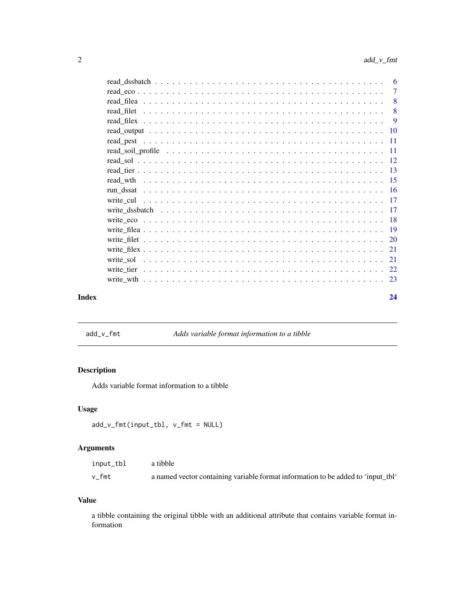<span id="page-1-0"></span>

|       |                                                                                                                                                        | -8 |
|-------|--------------------------------------------------------------------------------------------------------------------------------------------------------|----|
|       |                                                                                                                                                        |    |
|       |                                                                                                                                                        |    |
|       |                                                                                                                                                        |    |
|       |                                                                                                                                                        |    |
|       |                                                                                                                                                        |    |
|       |                                                                                                                                                        |    |
|       |                                                                                                                                                        |    |
|       |                                                                                                                                                        |    |
|       |                                                                                                                                                        |    |
|       | write cul $\ldots$ , $\ldots$ , $\ldots$ , $\ldots$ , $\ldots$ , $\ldots$ , $\ldots$ , $\ldots$ , $\ldots$ , $\ldots$ , $\ldots$ , $\ldots$ , $\ldots$ |    |
|       |                                                                                                                                                        |    |
|       |                                                                                                                                                        |    |
|       |                                                                                                                                                        |    |
|       |                                                                                                                                                        |    |
|       |                                                                                                                                                        |    |
|       |                                                                                                                                                        |    |
|       |                                                                                                                                                        |    |
|       |                                                                                                                                                        |    |
| Index |                                                                                                                                                        | 24 |
|       |                                                                                                                                                        |    |

add\_v\_fmt *Adds variable format information to a tibble*

# Description

Adds variable format information to a tibble

# Usage

```
add_v_fmt(input_tbl, v_fmt = NULL)
```
# Arguments

| input_tbl | a tibble                                                                         |
|-----------|----------------------------------------------------------------------------------|
| v fmt     | a named vector containing variable format information to be added to 'input_tbl' |

# Value

a tibble containing the original tibble with an additional attribute that contains variable format information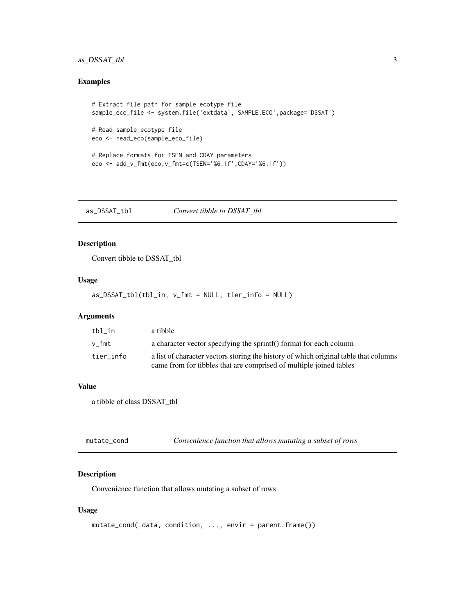# <span id="page-2-0"></span>as\_DSSAT\_tbl 3

# Examples

```
# Extract file path for sample ecotype file
sample_eco_file <- system.file('extdata','SAMPLE.ECO',package='DSSAT')
```

```
# Read sample ecotype file
eco <- read_eco(sample_eco_file)
```

```
# Replace formats for TSEN and CDAY parameters
eco <- add_v_fmt(eco,v_fmt=c(TSEN='%6.1f',CDAY='%6.1f'))
```
as\_DSSAT\_tbl *Convert tibble to DSSAT\_tbl*

# Description

Convert tibble to DSSAT\_tbl

#### Usage

as\_DSSAT\_tbl(tbl\_in, v\_fmt = NULL, tier\_info = NULL)

#### Arguments

| tbl in    | a tibble                                                                                                                                                   |
|-----------|------------------------------------------------------------------------------------------------------------------------------------------------------------|
| v fmt     | a character vector specifying the sprintf() format for each column                                                                                         |
| tier info | a list of character vectors storing the history of which original table that columns<br>came from for tibbles that are comprised of multiple joined tables |

#### Value

a tibble of class DSSAT\_tbl

| mutate_cond | Convenience function that allows mutating a subset of rows |
|-------------|------------------------------------------------------------|
|-------------|------------------------------------------------------------|

# Description

Convenience function that allows mutating a subset of rows

# Usage

```
mutate_cond(.data, condition, ..., envir = parent.frame())
```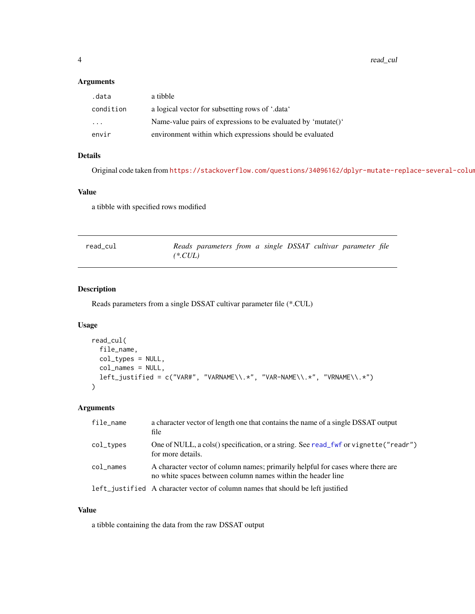<span id="page-3-0"></span>4 read\_cul

#### Arguments

| .data                   | a tibble                                                      |
|-------------------------|---------------------------------------------------------------|
| condition               | a logical vector for subsetting rows of '.data'               |
| $\cdot$ $\cdot$ $\cdot$ | Name-value pairs of expressions to be evaluated by 'mutate()' |
| envir                   | environment within which expressions should be evaluated      |

# Details

Original code taken from https://stackoverflow.com/questions/34096162/dplyr-mutate-replace-several-columns-

#### Value

a tibble with specified rows modified

| read_cul | Reads parameters from a single DSSAT cultivar parameter file |  |  |  |
|----------|--------------------------------------------------------------|--|--|--|
|          | $(*.CUL)$                                                    |  |  |  |

# Description

Reads parameters from a single DSSAT cultivar parameter file (\*.CUL)

# Usage

```
read_cul(
 file_name,
 col_types = NULL,
 col_names = NULL,
 left_justified = c("VAR#", "VARNAME\\.*", "VAR-NAME\\.*", "VRNAME\\.*")
\mathcal{L}
```
# Arguments

| file_name | a character vector of length one that contains the name of a single DSSAT output<br>file                                                       |
|-----------|------------------------------------------------------------------------------------------------------------------------------------------------|
| col_types | One of NULL, a cols() specification, or a string. See read_fwf or vignette("readr")<br>for more details.                                       |
| col_names | A character vector of column names; primarily helpful for cases where there are<br>no white spaces between column names within the header line |
|           | left_justified A character vector of column names that should be left justified                                                                |

# Value

a tibble containing the data from the raw DSSAT output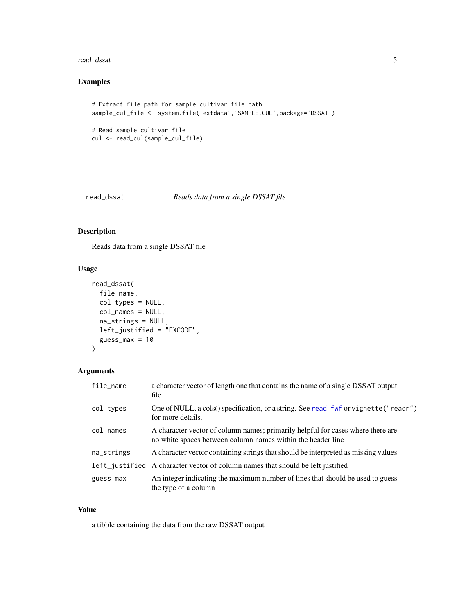# <span id="page-4-0"></span>read\_dssat 5

# Examples

```
# Extract file path for sample cultivar file path
sample_cul_file <- system.file('extdata','SAMPLE.CUL',package='DSSAT')
# Read sample cultivar file
cul <- read_cul(sample_cul_file)
```
# read\_dssat *Reads data from a single DSSAT file*

# Description

Reads data from a single DSSAT file

# Usage

```
read_dssat(
 file_name,
 col_types = NULL,
 col_names = NULL,
 na_strings = NULL,
 left_justified = "EXCODE",
 guess_max = 10)
```
# Arguments

| file_name       | a character vector of length one that contains the name of a single DSSAT output<br>file                                                       |
|-----------------|------------------------------------------------------------------------------------------------------------------------------------------------|
| col_types       | One of NULL, a cols() specification, or a string. See read_fwf or vignette("readr")<br>for more details.                                       |
| $col$ $\_names$ | A character vector of column names; primarily helpful for cases where there are<br>no white spaces between column names within the header line |
| na_strings      | A character vector containing strings that should be interpreted as missing values                                                             |
|                 | left_justified A character vector of column names that should be left justified                                                                |
| guess_max       | An integer indicating the maximum number of lines that should be used to guess<br>the type of a column                                         |

# Value

a tibble containing the data from the raw DSSAT output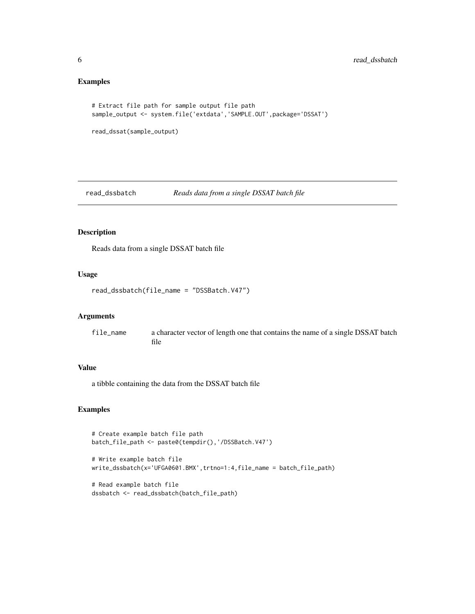# Examples

```
# Extract file path for sample output file path
sample_output <- system.file('extdata','SAMPLE.OUT',package='DSSAT')
```

```
read_dssat(sample_output)
```
read\_dssbatch *Reads data from a single DSSAT batch file*

# Description

Reads data from a single DSSAT batch file

#### Usage

read\_dssbatch(file\_name = "DSSBatch.V47")

# Arguments

file\_name a character vector of length one that contains the name of a single DSSAT batch file

# Value

a tibble containing the data from the DSSAT batch file

# Examples

```
# Create example batch file path
batch_file_path <- paste0(tempdir(),'/DSSBatch.V47')
```
# Write example batch file write\_dssbatch(x='UFGA0601.BMX',trtno=1:4,file\_name = batch\_file\_path)

```
# Read example batch file
dssbatch <- read_dssbatch(batch_file_path)
```
<span id="page-5-0"></span>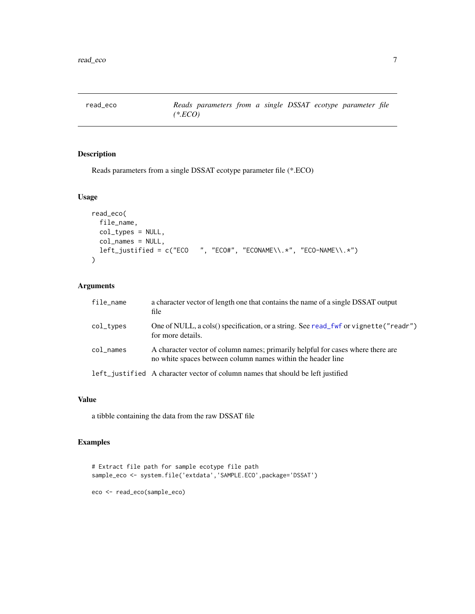<span id="page-6-0"></span>read\_eco *Reads parameters from a single DSSAT ecotype parameter file (\*.ECO)*

# Description

Reads parameters from a single DSSAT ecotype parameter file (\*.ECO)

#### Usage

```
read_eco(
 file_name,
 col_types = NULL,
 col_names = NULL,
 left\_justified = c("ECO ", "ECO#", "ECONAME\\.*", "ECO-NAME\\.*")
\mathcal{L}
```
# Arguments

| file_name       | a character vector of length one that contains the name of a single DSSAT output<br>file                                                       |
|-----------------|------------------------------------------------------------------------------------------------------------------------------------------------|
| col_types       | One of NULL, a cols() specification, or a string. See read_fwf or vignette("readr")<br>for more details.                                       |
| $col$ $\_names$ | A character vector of column names; primarily helpful for cases where there are<br>no white spaces between column names within the header line |
|                 | left_justified A character vector of column names that should be left justified                                                                |

#### Value

a tibble containing the data from the raw DSSAT file

# Examples

```
# Extract file path for sample ecotype file path
sample_eco <- system.file('extdata','SAMPLE.ECO',package='DSSAT')
eco <- read_eco(sample_eco)
```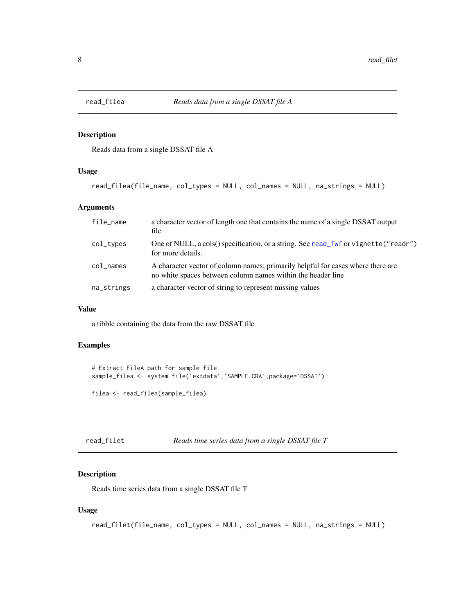<span id="page-7-0"></span>

# Description

Reads data from a single DSSAT file A

### Usage

```
read_filea(file_name, col_types = NULL, col_names = NULL, na_strings = NULL)
```
# Arguments

| file_name  | a character vector of length one that contains the name of a single DSSAT output<br>file                                                       |
|------------|------------------------------------------------------------------------------------------------------------------------------------------------|
| col_types  | One of NULL, a cols() specification, or a string. See read_fwf or vignette("readr")<br>for more details.                                       |
| col_names  | A character vector of column names; primarily helpful for cases where there are<br>no white spaces between column names within the header line |
| na_strings | a character vector of string to represent missing values                                                                                       |

#### Value

a tibble containing the data from the raw DSSAT file

# Examples

```
# Extract FileA path for sample file
sample_filea <- system.file('extdata','SAMPLE.CRA',package='DSSAT')
filea <- read_filea(sample_filea)
```

| read_filet | Reads time series data from a single DSSAT file T |  |  |  |
|------------|---------------------------------------------------|--|--|--|
|------------|---------------------------------------------------|--|--|--|

# Description

Reads time series data from a single DSSAT file T

# Usage

```
read_filet(file_name, col_types = NULL, col_names = NULL, na_strings = NULL)
```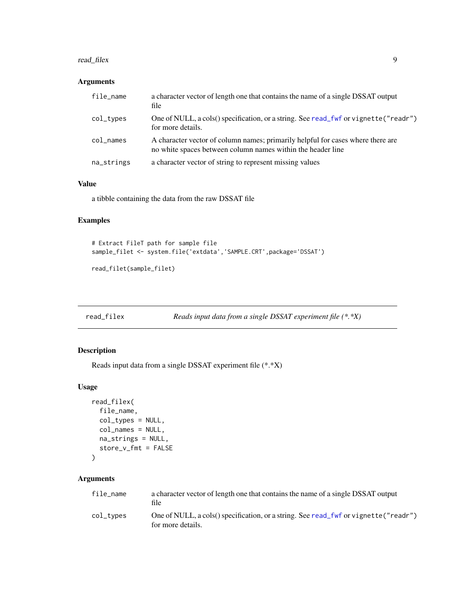#### <span id="page-8-0"></span>read\_filex 9

# Arguments

| file_name  | a character vector of length one that contains the name of a single DSSAT output<br>file                                                       |
|------------|------------------------------------------------------------------------------------------------------------------------------------------------|
| col_types  | One of NULL, a cols() specification, or a string. See read_fwf or vignette("readr")<br>for more details.                                       |
| col_names  | A character vector of column names; primarily helpful for cases where there are<br>no white spaces between column names within the header line |
| na_strings | a character vector of string to represent missing values                                                                                       |

#### Value

a tibble containing the data from the raw DSSAT file

# Examples

```
# Extract FileT path for sample file
sample_filet <- system.file('extdata','SAMPLE.CRT',package='DSSAT')
```
read\_filet(sample\_filet)

```
read_filex Reads input data from a single DSSAT experiment file (*.*X)
```
#### Description

Reads input data from a single DSSAT experiment file (\*.\*X)

#### Usage

```
read_filex(
  file_name,
  col_types = NULL,
  col_names = NULL,
  na_strings = NULL,
  store_v_fmt = FALSE
)
```
# Arguments

| file name | a character vector of length one that contains the name of a single DSSAT output<br>file                 |
|-----------|----------------------------------------------------------------------------------------------------------|
| col_types | One of NULL, a cols() specification, or a string. See read_fwf or vignette("readr")<br>for more details. |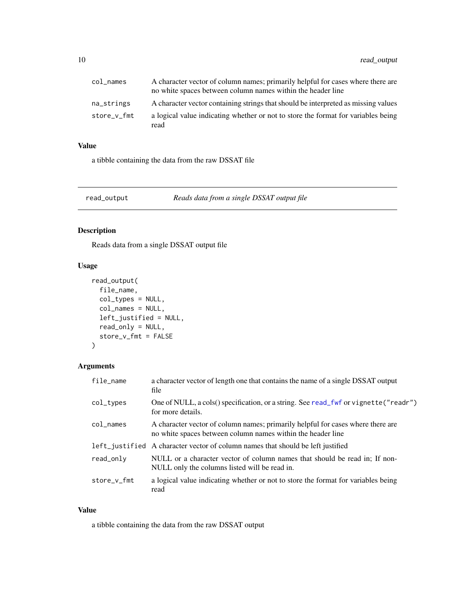<span id="page-9-0"></span>

| col names   | A character vector of column names; primarily helpful for cases where there are<br>no white spaces between column names within the header line |
|-------------|------------------------------------------------------------------------------------------------------------------------------------------------|
| na strings  | A character vector containing strings that should be interpreted as missing values                                                             |
| store_v_fmt | a logical value indicating whether or not to store the format for variables being<br>read                                                      |

# Value

a tibble containing the data from the raw DSSAT file

read\_output *Reads data from a single DSSAT output file*

# Description

Reads data from a single DSSAT output file

# Usage

```
read_output(
  file_name,
  col_types = NULL,
  col_names = NULL,
  left_justified = NULL,
  read_only = NULL,
  store_v_fmt = FALSE
)
```
# Arguments

| file_name       | a character vector of length one that contains the name of a single DSSAT output<br>file                                                       |
|-----------------|------------------------------------------------------------------------------------------------------------------------------------------------|
| col_types       | One of NULL, a cols() specification, or a string. See read_fwf or vignette("readr")<br>for more details.                                       |
| $col$ $\_names$ | A character vector of column names; primarily helpful for cases where there are<br>no white spaces between column names within the header line |
|                 | left_justified A character vector of column names that should be left justified                                                                |
| read_only       | NULL or a character vector of column names that should be read in; If non-<br>NULL only the columns listed will be read in.                    |
| store_v_fmt     | a logical value indicating whether or not to store the format for variables being<br>read                                                      |

# Value

a tibble containing the data from the raw DSSAT output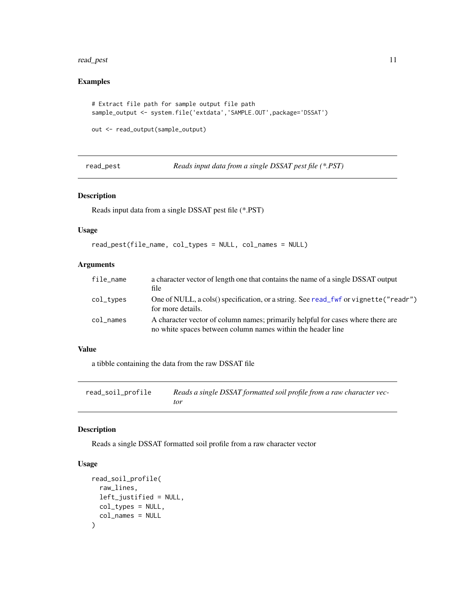#### <span id="page-10-0"></span>read\_pest 11

# Examples

```
# Extract file path for sample output file path
sample_output <- system.file('extdata','SAMPLE.OUT',package='DSSAT')
```

```
out <- read_output(sample_output)
```
read\_pest *Reads input data from a single DSSAT pest file (\*.PST)*

### Description

Reads input data from a single DSSAT pest file (\*.PST)

# Usage

```
read_pest(file_name, col_types = NULL, col_names = NULL)
```
# Arguments

| file_name | a character vector of length one that contains the name of a single DSSAT output<br>file                                                       |
|-----------|------------------------------------------------------------------------------------------------------------------------------------------------|
| col_types | One of NULL, a cols() specification, or a string. See read_fwf or vignette("readr")<br>for more details.                                       |
| col_names | A character vector of column names; primarily helpful for cases where there are<br>no white spaces between column names within the header line |

# Value

a tibble containing the data from the raw DSSAT file

| read_soil_profile | Reads a single DSSAT formatted soil profile from a raw character vec- |
|-------------------|-----------------------------------------------------------------------|
|                   | tor                                                                   |

# Description

Reads a single DSSAT formatted soil profile from a raw character vector

#### Usage

```
read_soil_profile(
  raw_lines,
  left_justified = NULL,
 col_types = NULL,
  col_names = NULL
\mathcal{E}
```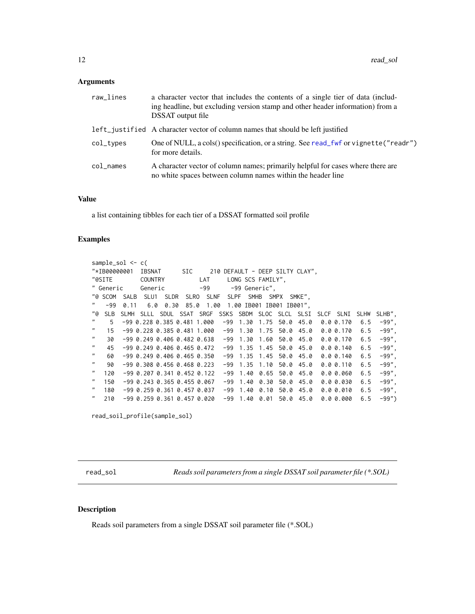#### <span id="page-11-0"></span>Arguments

| a character vector that includes the contents of a single tier of data (includ-<br>ing headline, but excluding version stamp and other header information) from a<br><b>DSSAT</b> output file |
|-----------------------------------------------------------------------------------------------------------------------------------------------------------------------------------------------|
| left_justified A character vector of column names that should be left justified                                                                                                               |
| One of NULL, a cols() specification, or a string. See read_fwf or vignette("readr")<br>for more details.                                                                                      |
| A character vector of column names; primarily helpful for cases where there are<br>no white spaces between column names within the header line                                                |
|                                                                                                                                                                                               |

#### Value

a list containing tibbles for each tier of a DSSAT formatted soil profile

#### Examples

```
sample_sol <- c(
"*IB00000001 IBSNAT SIC 210 DEFAULT - DEEP SILTY CLAY",
"@SITE COUNTRY LAT LONG SCS FAMILY",
" Generic Generic -99 -99 Generic",
"@ SCOM SALB SLU1 SLDR SLRO SLNF SLPF SMHB SMPX SMKE",
" -99 0.11 6.0 0.30 85.0 1.00 1.00 IB001 IB001 IB001",
"@ SLB SLMH SLLL SDUL SSAT SRGF SSKS SBDM SLOC SLCL SLSI SLCF SLNI SLHW SLHB",
    5 -99 0.228 0.385 0.481 1.000 -99 1.30 1.75 50.0 45.0 0.0 0.170 6.5
   " 15 -99 0.228 0.385 0.481 1.000 -99 1.30 1.75 50.0 45.0 0.0 0.170 6.5 -99",
   " 30 -99 0.249 0.406 0.482 0.638 -99 1.30 1.60 50.0 45.0 0.0 0.170 6.5 -99",
   " 45 -99 0.249 0.406 0.465 0.472 -99 1.35 1.45 50.0 45.0 0.0 0.140 6.5 -99",
" 60 -99 0.249 0.406 0.465 0.350 -99 1.35 1.45 50.0 45.0 0.0 0.140 6.5 -99",
" 90 -99 0.308 0.456 0.468 0.223 -99 1.35 1.10 50.0 45.0 0.0 0.110 6.5 -99",
  " 120 -99 0.207 0.341 0.452 0.122 -99 1.40 0.65 50.0 45.0 0.0 0.060 6.5 -99",
  " 150 -99 0.243 0.365 0.455 0.067 -99 1.40 0.30 50.0 45.0 0.0 0.030 6.5 -99",
  " 180 -99 0.259 0.361 0.457 0.037 -99 1.40 0.10 50.0 45.0 0.0 0.010 6.5 -99",
" 210 -99 0.259 0.361 0.457 0.020 -99 1.40 0.01 50.0 45.0 0.0 0.000 6.5 -99")
```

```
read_soil_profile(sample_sol)
```
read\_sol *Reads soil parameters from a single DSSAT soil parameter file (\*.SOL)*

#### **Description**

Reads soil parameters from a single DSSAT soil parameter file (\*.SOL)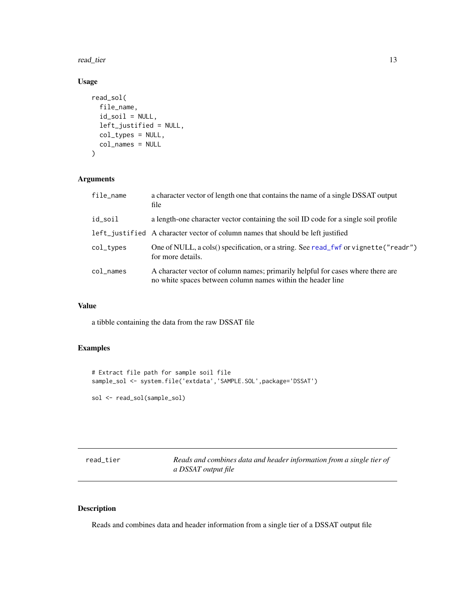<span id="page-12-0"></span>read\_tier 13

# Usage

```
read_sol(
  file_name,
  id\_soil = NULL,left_justified = NULL,
  col_types = NULL,
  col_names = NULL
\mathcal{L}
```
# Arguments

| file_name             | a character vector of length one that contains the name of a single DSSAT output<br>file                                                       |
|-----------------------|------------------------------------------------------------------------------------------------------------------------------------------------|
| id_soil               | a length-one character vector containing the soil ID code for a single soil profile                                                            |
|                       | left justified A character vector of column names that should be left justified                                                                |
| $col_{\text{-}types}$ | One of NULL, a cols() specification, or a string. See read_fwf or vignette("readr")<br>for more details.                                       |
| $col$ $\_names$       | A character vector of column names; primarily helpful for cases where there are<br>no white spaces between column names within the header line |

# Value

a tibble containing the data from the raw DSSAT file

# Examples

```
# Extract file path for sample soil file
sample_sol <- system.file('extdata','SAMPLE.SOL',package='DSSAT')
```

```
sol <- read_sol(sample_sol)
```

| read tier | Reads and combines data and header information from a single tier of |
|-----------|----------------------------------------------------------------------|
|           | a DSSAT output file                                                  |

# Description

Reads and combines data and header information from a single tier of a DSSAT output file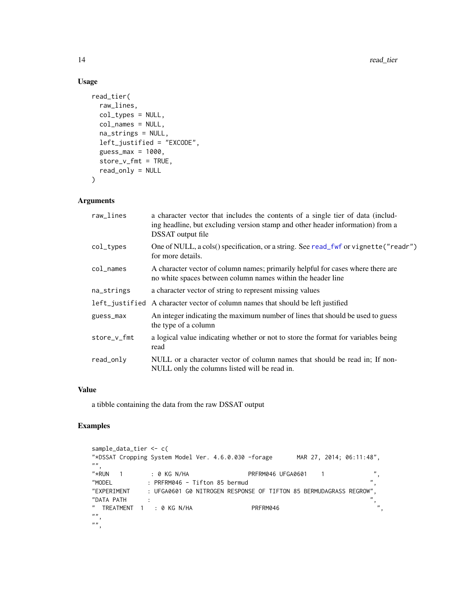# Usage

```
read_tier(
 raw_lines,
 col_types = NULL,
 col_names = NULL,
 na_strings = NULL,
 left_justified = "EXCODE",
  guess_max = 1000,
 store_v_fmt = TRUE,
 read_only = NULL
)
```
# Arguments

| raw_lines   | a character vector that includes the contents of a single tier of data (includ-<br>ing headline, but excluding version stamp and other header information) from a<br>DSSAT output file |
|-------------|----------------------------------------------------------------------------------------------------------------------------------------------------------------------------------------|
| col_types   | One of NULL, a cols() specification, or a string. See read_fwf or vignette("readr")<br>for more details.                                                                               |
| col_names   | A character vector of column names; primarily helpful for cases where there are<br>no white spaces between column names within the header line                                         |
| na_strings  | a character vector of string to represent missing values                                                                                                                               |
|             | left_justified A character vector of column names that should be left justified                                                                                                        |
| guess_max   | An integer indicating the maximum number of lines that should be used to guess<br>the type of a column                                                                                 |
| store_v_fmt | a logical value indicating whether or not to store the format for variables being<br>read                                                                                              |
| read_only   | NULL or a character vector of column names that should be read in; If non-<br>NULL only the columns listed will be read in.                                                            |

#### Value

a tibble containing the data from the raw DSSAT output

# Examples

```
sample_data_tier <- c(
"*DSSAT Cropping System Model Ver. 4.6.0.030 -forage MAR 27, 2014; 06:11:48",
\begin{array}{c} n n, \\"*RUN 1
                     "*RUN 1 : 0 KG N/HA PRFRM046 UFGA0601 1 ",
"MODEL : PRFRM046 - Tifton 85 bermud
"EXPERIMENT : UFGA0601 G0 NITROGEN RESPONSE OF TIFTON 85 BERMUDAGRASS REGROW",
\text{YDATA PATH} : \text{YATH} : \text{YCT} , \text{YCT} , \text{YCT} , \text{YCT} , \text{YCT} , \text{YCT} , \text{YCT} , \text{YCT} , \text{YCT} , \text{YCT} , \text{YCT} , \text{YCT} , \text{YCT} , \text{YCT} , \text{YCT} , \text{YCT} , \text{YCT} , \text{YCT} ,
" TREATMENT 1 : 0 KG N/HA PRFRM046
" "^{\frac{1}{n}},
```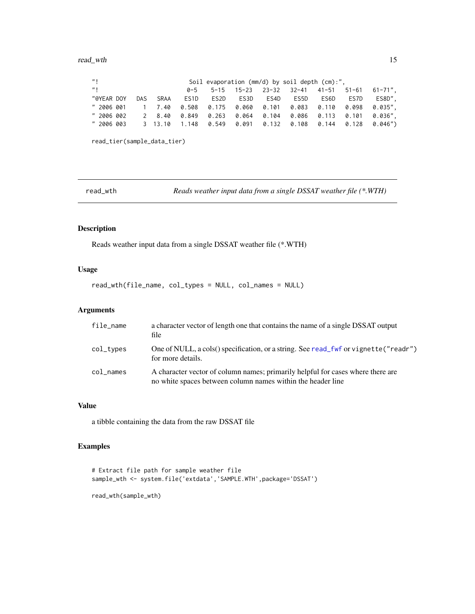<span id="page-14-0"></span>

| $^{\prime\prime}$           |     |             |       |       |       |       | Soil evaporation (mm/d) by soil depth (cm):", |      |       |              |
|-----------------------------|-----|-------------|-------|-------|-------|-------|-----------------------------------------------|------|-------|--------------|
| $^{\prime\prime}$           |     |             | 0-5   |       |       |       | 5-15 15-23 23-32 32-41 41-51                  |      | 51-61 | $61 - 71$ ", |
| "@YEAR DOY                  | DAS | <b>SRAA</b> | ES1D  | ES2D  | ES3D  | ES4D  | ES5D                                          | ES6D | ES7D  | ES8D",       |
| " 2006 001                  |     | 1 7.40      | 0.508 | 0.175 |       |       |                                               |      |       | 0.035".      |
| " 2006 002                  |     | 2 8.40      | 0.849 | 0.263 | 0.064 | 0.104 | 0.086   0.113   0.101                         |      |       | 0.036".      |
| " 2006 003                  |     | 3 13.10     |       |       |       |       | $1.148$ 0.549 0.091 0.132 0.108 0.144 0.128   |      |       | 0.046")      |
|                             |     |             |       |       |       |       |                                               |      |       |              |
| read_tier(sample_data_tier) |     |             |       |       |       |       |                                               |      |       |              |

read\_wth *Reads weather input data from a single DSSAT weather file (\*.WTH)*

# Description

Reads weather input data from a single DSSAT weather file (\*.WTH)

# Usage

read\_wth(file\_name, col\_types = NULL, col\_names = NULL)

# Arguments

| file_name | a character vector of length one that contains the name of a single DSSAT output<br>file                                                       |
|-----------|------------------------------------------------------------------------------------------------------------------------------------------------|
| col_types | One of NULL, a cols() specification, or a string. See read_fwf or vignette("readr")<br>for more details.                                       |
| col_names | A character vector of column names; primarily helpful for cases where there are<br>no white spaces between column names within the header line |

# Value

a tibble containing the data from the raw DSSAT file

# Examples

```
# Extract file path for sample weather file
sample_wth <- system.file('extdata','SAMPLE.WTH',package='DSSAT')
read_wth(sample_wth)
```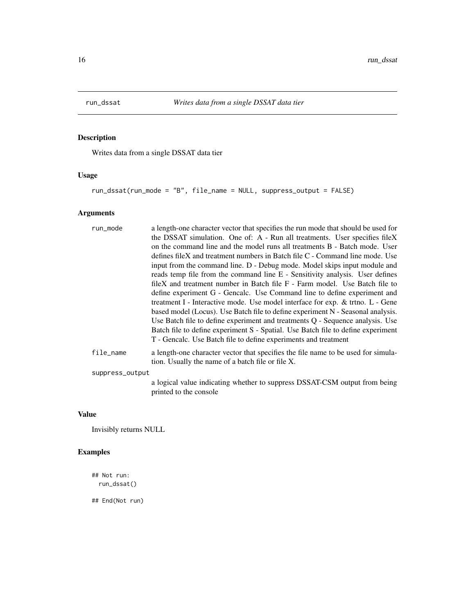<span id="page-15-0"></span>

# Description

Writes data from a single DSSAT data tier

# Usage

run\_dssat(run\_mode = "B", file\_name = NULL, suppress\_output = FALSE)

# Arguments

| run_mode        | a length-one character vector that specifies the run mode that should be used for                                                      |
|-----------------|----------------------------------------------------------------------------------------------------------------------------------------|
|                 | the DSSAT simulation. One of: A - Run all treatments. User specifies fileX                                                             |
|                 | on the command line and the model runs all treatments B - Batch mode. User                                                             |
|                 | defines fileX and treatment numbers in Batch file C - Command line mode. Use                                                           |
|                 | input from the command line. D - Debug mode. Model skips input module and                                                              |
|                 | reads temp file from the command line E - Sensitivity analysis. User defines                                                           |
|                 | fileX and treatment number in Batch file $F - Farm$ model. Use Batch file to                                                           |
|                 | define experiment G - Gencalc. Use Command line to define experiment and                                                               |
|                 | treatment I - Interactive mode. Use model interface for exp. & trino. L - Gene                                                         |
|                 | based model (Locus). Use Batch file to define experiment N - Seasonal analysis.                                                        |
|                 | Use Batch file to define experiment and treatments Q - Sequence analysis. Use                                                          |
|                 | Batch file to define experiment S - Spatial. Use Batch file to define experiment                                                       |
|                 | T - Gencalc. Use Batch file to define experiments and treatment                                                                        |
| file_name       | a length-one character vector that specifies the file name to be used for simula-<br>tion. Usually the name of a batch file or file X. |
| suppress_output |                                                                                                                                        |
|                 | a logical value indicating whether to suppress DSSAT-CSM output from being<br>printed to the console                                   |

# Value

Invisibly returns NULL

# Examples

```
## Not run:
  run_dssat()
```
## End(Not run)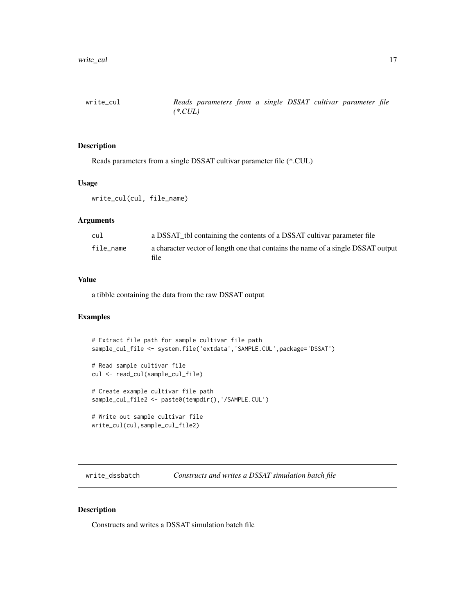<span id="page-16-0"></span>

# Description

Reads parameters from a single DSSAT cultivar parameter file (\*.CUL)

# Usage

```
write_cul(cul, file_name)
```
#### Arguments

| cu1       | a DSSAT tbl containing the contents of a DSSAT cultivar parameter file                   |
|-----------|------------------------------------------------------------------------------------------|
| file name | a character vector of length one that contains the name of a single DSSAT output<br>file |

#### Value

a tibble containing the data from the raw DSSAT output

#### Examples

```
# Extract file path for sample cultivar file path
sample_cul_file <- system.file('extdata','SAMPLE.CUL',package='DSSAT')
# Read sample cultivar file
cul <- read_cul(sample_cul_file)
# Create example cultivar file path
sample_cul_file2 <- paste0(tempdir(),'/SAMPLE.CUL')
# Write out sample cultivar file
write_cul(cul,sample_cul_file2)
```
write\_dssbatch *Constructs and writes a DSSAT simulation batch file*

#### Description

Constructs and writes a DSSAT simulation batch file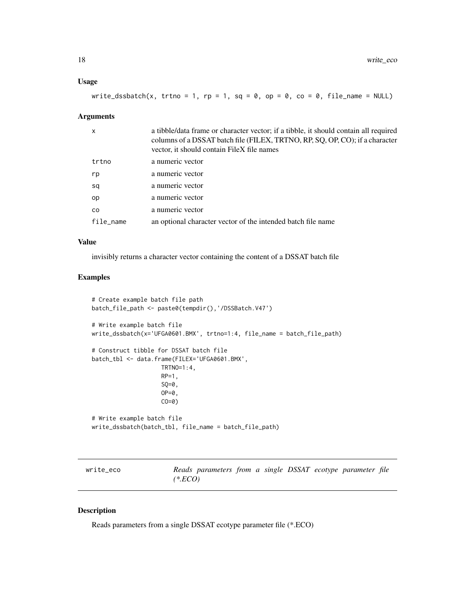# <span id="page-17-0"></span>Usage

| write_dssbatch(x, trtno = 1, rp = 1, sq = 0, op = 0, co = 0, file_name = NULL) |  |  |  |  |  |  |  |  |
|--------------------------------------------------------------------------------|--|--|--|--|--|--|--|--|
|--------------------------------------------------------------------------------|--|--|--|--|--|--|--|--|

#### Arguments

| x         | a tibble/data frame or character vector; if a tibble, it should contain all required<br>columns of a DSSAT batch file (FILEX, TRTNO, RP, SQ, OP, CO); if a character<br>vector, it should contain FileX file names |
|-----------|--------------------------------------------------------------------------------------------------------------------------------------------------------------------------------------------------------------------|
| trtno     | a numeric vector                                                                                                                                                                                                   |
| rp        | a numeric vector                                                                                                                                                                                                   |
| sq        | a numeric vector                                                                                                                                                                                                   |
| op        | a numeric vector                                                                                                                                                                                                   |
| CO.       | a numeric vector                                                                                                                                                                                                   |
| file_name | an optional character vector of the intended batch file name                                                                                                                                                       |
|           |                                                                                                                                                                                                                    |

#### Value

invisibly returns a character vector containing the content of a DSSAT batch file

# Examples

```
# Create example batch file path
batch_file_path <- paste0(tempdir(),'/DSSBatch.V47')
# Write example batch file
write_dssbatch(x='UFGA0601.BMX', trtno=1:4, file_name = batch_file_path)
# Construct tibble for DSSAT batch file
batch_tbl <- data.frame(FILEX='UFGA0601.BMX',
                    TRTNO=1:4,
                    RP=1,
                    SQ=0,
                    OP=0,
                    CO=0)
# Write example batch file
write_dssbatch(batch_tbl, file_name = batch_file_path)
```
write\_eco *Reads parameters from a single DSSAT ecotype parameter file (\*.ECO)*

# Description

Reads parameters from a single DSSAT ecotype parameter file (\*.ECO)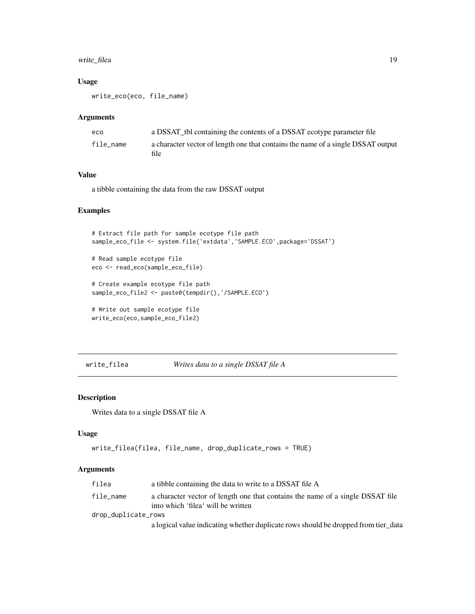# <span id="page-18-0"></span>write\_filea 19

# Usage

write\_eco(eco, file\_name)

#### Arguments

| eco       | a DSSAT tbl containing the contents of a DSSAT ecotype parameter file                    |
|-----------|------------------------------------------------------------------------------------------|
| file name | a character vector of length one that contains the name of a single DSSAT output<br>file |

# Value

a tibble containing the data from the raw DSSAT output

# Examples

```
# Extract file path for sample ecotype file path
sample_eco_file <- system.file('extdata','SAMPLE.ECO',package='DSSAT')
# Read sample ecotype file
eco <- read_eco(sample_eco_file)
# Create example ecotype file path
sample_eco_file2 <- paste0(tempdir(),'/SAMPLE.ECO')
# Write out sample ecotype file
write_eco(eco,sample_eco_file2)
```

```
write_filea Writes data to a single DSSAT file A
```
# Description

Writes data to a single DSSAT file A

#### Usage

```
write_filea(filea, file_name, drop_duplicate_rows = TRUE)
```
# Arguments

| filea               | a tibble containing the data to write to a DSSAT file A                                                              |
|---------------------|----------------------------------------------------------------------------------------------------------------------|
| file_name           | a character vector of length one that contains the name of a single DSSAT file<br>into which 'filea' will be written |
| drop_duplicate_rows |                                                                                                                      |
|                     | a logical value indicating whether duplicate rows should be dropped from tier data                                   |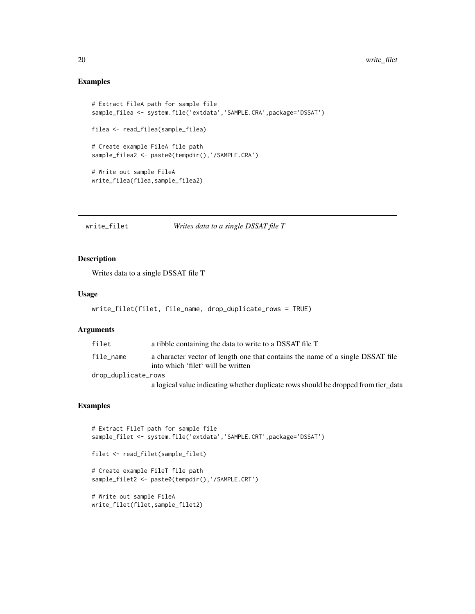# <span id="page-19-0"></span>Examples

```
# Extract FileA path for sample file
sample_filea <- system.file('extdata','SAMPLE.CRA',package='DSSAT')
filea <- read_filea(sample_filea)
# Create example FileA file path
sample_filea2 <- paste0(tempdir(),'/SAMPLE.CRA')
# Write out sample FileA
write_filea(filea,sample_filea2)
```
write\_filet *Writes data to a single DSSAT file T*

#### Description

Writes data to a single DSSAT file T

#### Usage

```
write_filet(filet, file_name, drop_duplicate_rows = TRUE)
```
#### Arguments

| filet               | a tibble containing the data to write to a DSSAT file T                                                              |
|---------------------|----------------------------------------------------------------------------------------------------------------------|
| file_name           | a character vector of length one that contains the name of a single DSSAT file<br>into which 'filet' will be written |
| drop_duplicate_rows |                                                                                                                      |
|                     | a logical value indicating whether duplicate rows should be dropped from tier data                                   |

# Examples

```
# Extract FileT path for sample file
sample_filet <- system.file('extdata','SAMPLE.CRT',package='DSSAT')
filet <- read_filet(sample_filet)
# Create example FileT file path
sample_filet2 <- paste0(tempdir(),'/SAMPLE.CRT')
# Write out sample FileA
write_filet(filet,sample_filet2)
```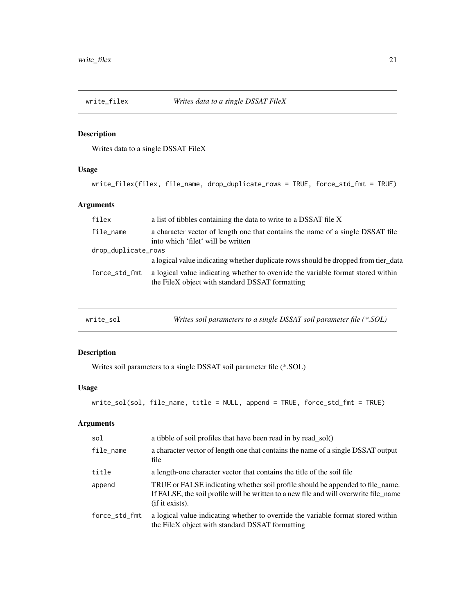<span id="page-20-0"></span>

# Description

Writes data to a single DSSAT FileX

# Usage

```
write_filex(filex, file_name, drop_duplicate_rows = TRUE, force_std_fmt = TRUE)
```
# Arguments

| filex               | a list of tibbles containing the data to write to a DSSAT file X                                                                    |
|---------------------|-------------------------------------------------------------------------------------------------------------------------------------|
| file_name           | a character vector of length one that contains the name of a single DSSAT file<br>into which 'filet' will be written                |
| drop_duplicate_rows |                                                                                                                                     |
|                     | a logical value indicating whether duplicate rows should be dropped from tier_data                                                  |
| force_std_fmt       | a logical value indicating whether to override the variable format stored within<br>the FileX object with standard DSSAT formatting |
|                     |                                                                                                                                     |

| Writes soil parameters to a single DSSAT soil parameter file (*.SOL)<br>write_sol |  |  |
|-----------------------------------------------------------------------------------|--|--|
|-----------------------------------------------------------------------------------|--|--|

# Description

Writes soil parameters to a single DSSAT soil parameter file (\*.SOL)

# Usage

```
write_sol(sol, file_name, title = NULL, append = TRUE, force_std_fmt = TRUE)
```
# Arguments

| sol           | a tibble of soil profiles that have been read in by read sol()                                                                                                                             |
|---------------|--------------------------------------------------------------------------------------------------------------------------------------------------------------------------------------------|
| file_name     | a character vector of length one that contains the name of a single DSSAT output<br>file                                                                                                   |
| title         | a length-one character vector that contains the title of the soil file                                                                                                                     |
| append        | TRUE or FALSE indicating whether soil profile should be appended to file_name.<br>If FALSE, the soil profile will be written to a new file and will overwrite file_name<br>(if it exists). |
| force_std_fmt | a logical value indicating whether to override the variable format stored within<br>the FileX object with standard DSSAT formatting                                                        |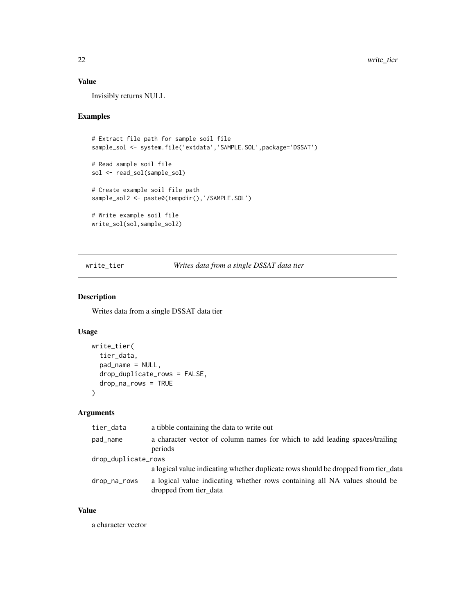# <span id="page-21-0"></span>Value

Invisibly returns NULL

# Examples

```
# Extract file path for sample soil file
sample_sol <- system.file('extdata','SAMPLE.SOL',package='DSSAT')
# Read sample soil file
sol <- read_sol(sample_sol)
# Create example soil file path
sample_sol2 <- paste0(tempdir(),'/SAMPLE.SOL')
# Write example soil file
write_sol(sol,sample_sol2)
```
write\_tier *Writes data from a single DSSAT data tier*

#### Description

Writes data from a single DSSAT data tier

# Usage

```
write_tier(
  tier_data,
  pad_name = NULL,
  drop_duplicate_rows = FALSE,
  drop_na_rows = TRUE
\mathcal{L}
```
# Arguments

| tier_data           | a tibble containing the data to write out                                                            |
|---------------------|------------------------------------------------------------------------------------------------------|
| pad_name            | a character vector of column names for which to add leading spaces/trailing<br>periods               |
| drop_duplicate_rows |                                                                                                      |
|                     | a logical value indicating whether duplicate rows should be dropped from tier data                   |
| drop_na_rows        | a logical value indicating whether rows containing all NA values should be<br>dropped from tier data |

# Value

a character vector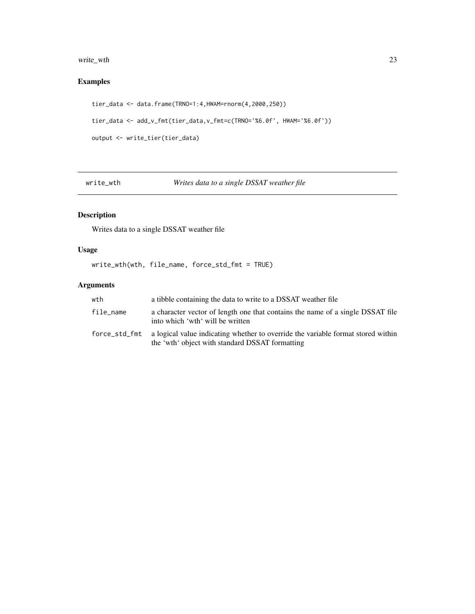# <span id="page-22-0"></span>write\_wth 23

# Examples

```
tier_data <- data.frame(TRNO=1:4,HWAM=rnorm(4,2000,250))
tier_data <- add_v_fmt(tier_data,v_fmt=c(TRNO='%6.0f', HWAM='%6.0f'))
output <- write_tier(tier_data)
```
write\_wth *Writes data to a single DSSAT weather file*

# Description

Writes data to a single DSSAT weather file

# Usage

write\_wth(wth, file\_name, force\_std\_fmt = TRUE)

# Arguments

| wth       | a tibble containing the data to write to a DSSAT weather file                                                                                     |
|-----------|---------------------------------------------------------------------------------------------------------------------------------------------------|
| file_name | a character vector of length one that contains the name of a single DSSAT file<br>into which 'wth' will be written                                |
|           | force_std_fmt a logical value indicating whether to override the variable format stored within<br>the 'wth' object with standard DSSAT formatting |